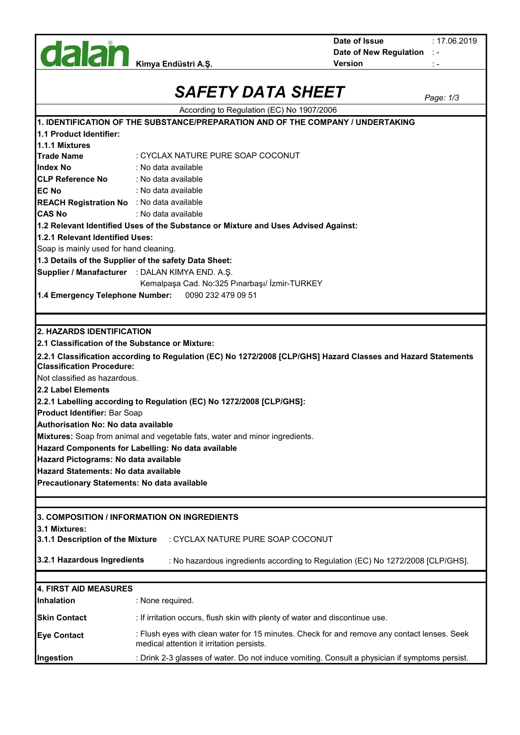

**Date of New Regulation** : - **Date of Issue**

: 17.06.2019

|                                                                                 | <i>SAFETY DATA SHEET</i>                                                                                                                 | Page: 1/3 |  |  |  |
|---------------------------------------------------------------------------------|------------------------------------------------------------------------------------------------------------------------------------------|-----------|--|--|--|
|                                                                                 | According to Regulation (EC) No 1907/2006                                                                                                |           |  |  |  |
| 1. IDENTIFICATION OF THE SUBSTANCE/PREPARATION AND OF THE COMPANY / UNDERTAKING |                                                                                                                                          |           |  |  |  |
| 1.1 Product Identifier:                                                         |                                                                                                                                          |           |  |  |  |
| 1.1.1 Mixtures                                                                  |                                                                                                                                          |           |  |  |  |
| <b>Trade Name</b>                                                               | : CYCLAX NATURE PURE SOAP COCONUT                                                                                                        |           |  |  |  |
| IIndex No                                                                       | : No data available                                                                                                                      |           |  |  |  |
| <b>CLP Reference No</b>                                                         | : No data available                                                                                                                      |           |  |  |  |
| <b>EC No</b>                                                                    | : No data available                                                                                                                      |           |  |  |  |
| <b>REACH Registration No</b> : No data available                                |                                                                                                                                          |           |  |  |  |
| <b>CAS No</b>                                                                   | : No data available                                                                                                                      |           |  |  |  |
|                                                                                 | 1.2 Relevant Identified Uses of the Substance or Mixture and Uses Advised Against:                                                       |           |  |  |  |
| 1.2.1 Relevant Identified Uses:                                                 |                                                                                                                                          |           |  |  |  |
| Soap is mainly used for hand cleaning.                                          |                                                                                                                                          |           |  |  |  |
|                                                                                 | 1.3 Details of the Supplier of the safety Data Sheet:                                                                                    |           |  |  |  |
|                                                                                 | Supplier / Manafacturer : DALAN KIMYA END. A.Ş.                                                                                          |           |  |  |  |
|                                                                                 | Kemalpaşa Cad. No:325 Pınarbaşı/ İzmir-TURKEY                                                                                            |           |  |  |  |
| 1.4 Emergency Telephone Number:                                                 | 0090 232 479 09 51                                                                                                                       |           |  |  |  |
|                                                                                 |                                                                                                                                          |           |  |  |  |
|                                                                                 |                                                                                                                                          |           |  |  |  |
| <b>2. HAZARDS IDENTIFICATION</b>                                                |                                                                                                                                          |           |  |  |  |
| 2.1 Classification of the Substance or Mixture:                                 |                                                                                                                                          |           |  |  |  |
| <b>Classification Procedure:</b>                                                | 2.2.1 Classification according to Regulation (EC) No 1272/2008 [CLP/GHS] Hazard Classes and Hazard Statements                            |           |  |  |  |
| Not classified as hazardous.                                                    |                                                                                                                                          |           |  |  |  |
| <b>2.2 Label Elements</b>                                                       |                                                                                                                                          |           |  |  |  |
|                                                                                 | 2.2.1 Labelling according to Regulation (EC) No 1272/2008 [CLP/GHS]:                                                                     |           |  |  |  |
| Product Identifier: Bar Soap                                                    |                                                                                                                                          |           |  |  |  |
| Authorisation No: No data available                                             |                                                                                                                                          |           |  |  |  |
|                                                                                 | Mixtures: Soap from animal and vegetable fats, water and minor ingredients.                                                              |           |  |  |  |
|                                                                                 | Hazard Components for Labelling: No data available                                                                                       |           |  |  |  |
| Hazard Pictograms: No data available                                            |                                                                                                                                          |           |  |  |  |
| Hazard Statements: No data available                                            |                                                                                                                                          |           |  |  |  |
| Precautionary Statements: No data available                                     |                                                                                                                                          |           |  |  |  |
|                                                                                 |                                                                                                                                          |           |  |  |  |
|                                                                                 |                                                                                                                                          |           |  |  |  |
|                                                                                 | 3. COMPOSITION / INFORMATION ON INGREDIENTS                                                                                              |           |  |  |  |
| 3.1 Mixtures:                                                                   |                                                                                                                                          |           |  |  |  |
| 3.1.1 Description of the Mixture                                                | : CYCLAX NATURE PURE SOAP COCONUT                                                                                                        |           |  |  |  |
| 3.2.1 Hazardous Ingredients                                                     | : No hazardous ingredients according to Regulation (EC) No 1272/2008 [CLP/GHS].                                                          |           |  |  |  |
|                                                                                 |                                                                                                                                          |           |  |  |  |
| 4. FIRST AID MEASURES                                                           |                                                                                                                                          |           |  |  |  |
| Inhalation                                                                      | : None required.                                                                                                                         |           |  |  |  |
| <b>Skin Contact</b>                                                             | : If irritation occurs, flush skin with plenty of water and discontinue use.                                                             |           |  |  |  |
| <b>Eye Contact</b>                                                              | : Flush eyes with clean water for 15 minutes. Check for and remove any contact lenses. Seek<br>medical attention it irritation persists. |           |  |  |  |
| Ingestion                                                                       | : Drink 2-3 glasses of water. Do not induce vomiting. Consult a physician if symptoms persist.                                           |           |  |  |  |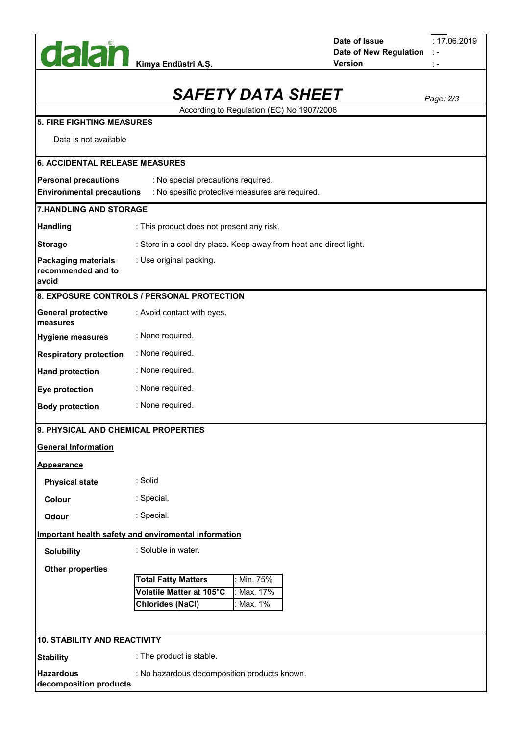

| Date of Issue          |      |
|------------------------|------|
| Date of New Regulation | - 19 |
| Version                |      |

: 17.06.2019

|                                                                                                                                                          | <b>SAFETY DATA SHEET</b>                                           | Page: 2/3 |  |  |  |
|----------------------------------------------------------------------------------------------------------------------------------------------------------|--------------------------------------------------------------------|-----------|--|--|--|
|                                                                                                                                                          | According to Regulation (EC) No 1907/2006                          |           |  |  |  |
| 5. FIRE FIGHTING MEASURES                                                                                                                                |                                                                    |           |  |  |  |
| Data is not available                                                                                                                                    |                                                                    |           |  |  |  |
| <b>6. ACCIDENTAL RELEASE MEASURES</b>                                                                                                                    |                                                                    |           |  |  |  |
| <b>Personal precautions</b><br>: No special precautions required.<br><b>Environmental precautions</b><br>: No spesific protective measures are required. |                                                                    |           |  |  |  |
|                                                                                                                                                          | <b>7.HANDLING AND STORAGE</b>                                      |           |  |  |  |
| <b>Handling</b>                                                                                                                                          | : This product does not present any risk.                          |           |  |  |  |
| <b>Storage</b>                                                                                                                                           | : Store in a cool dry place. Keep away from heat and direct light. |           |  |  |  |
| <b>Packaging materials</b><br>recommended and to<br>avoid                                                                                                | : Use original packing.                                            |           |  |  |  |
|                                                                                                                                                          | 8. EXPOSURE CONTROLS / PERSONAL PROTECTION                         |           |  |  |  |
| <b>General protective</b><br>measures                                                                                                                    | : Avoid contact with eyes.                                         |           |  |  |  |
| <b>Hygiene measures</b>                                                                                                                                  | : None required.                                                   |           |  |  |  |
| <b>Respiratory protection</b>                                                                                                                            | : None required.                                                   |           |  |  |  |
| <b>Hand protection</b>                                                                                                                                   | : None required.                                                   |           |  |  |  |
| Eye protection                                                                                                                                           | : None required.                                                   |           |  |  |  |
| <b>Body protection</b>                                                                                                                                   | : None required.                                                   |           |  |  |  |
| 9. PHYSICAL AND CHEMICAL PROPERTIES                                                                                                                      |                                                                    |           |  |  |  |
| <b>General Information</b>                                                                                                                               |                                                                    |           |  |  |  |
| Appearance                                                                                                                                               |                                                                    |           |  |  |  |
| <b>Physical state</b>                                                                                                                                    | : Solid                                                            |           |  |  |  |
| Colour                                                                                                                                                   | : Special.                                                         |           |  |  |  |
| Odour                                                                                                                                                    | : Special.                                                         |           |  |  |  |
|                                                                                                                                                          | <b>Important health safety and enviromental information</b>        |           |  |  |  |
| <b>Solubility</b>                                                                                                                                        | : Soluble in water.                                                |           |  |  |  |
| <b>Other properties</b>                                                                                                                                  |                                                                    |           |  |  |  |
|                                                                                                                                                          | : Min. 75%<br><b>Total Fatty Matters</b>                           |           |  |  |  |
|                                                                                                                                                          | Max. 17%<br>Volatile Matter at 105°C                               |           |  |  |  |
|                                                                                                                                                          | : Max. 1%<br><b>Chlorides (NaCl)</b>                               |           |  |  |  |
|                                                                                                                                                          |                                                                    |           |  |  |  |
| 10. STABILITY AND REACTIVITY                                                                                                                             |                                                                    |           |  |  |  |
| <b>Stability</b>                                                                                                                                         | : The product is stable.                                           |           |  |  |  |
| <b>Hazardous</b><br>: No hazardous decomposition products known.<br>decomposition products                                                               |                                                                    |           |  |  |  |